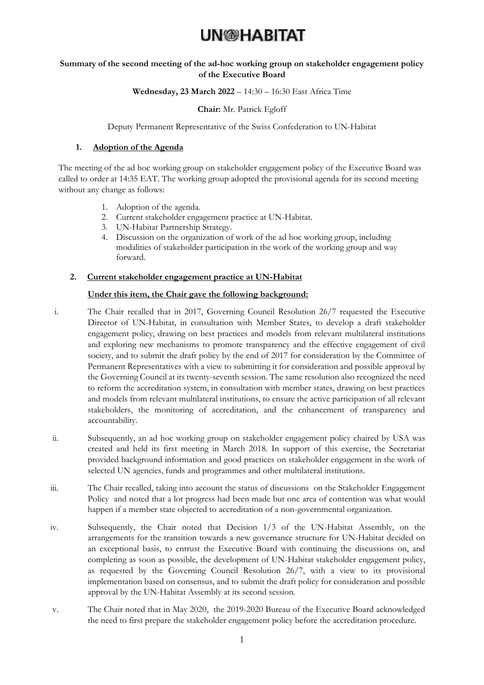## **Summary of the second meeting of the ad-hoc working group on stakeholder engagement policy of the Executive Board**

## **Wednesday, 23 March 2022** – 14:30 – 16:30 East Africa Time

## **Chair:** Mr. Patrick Egloff

Deputy Permanent Representative of the Swiss Confederation to UN-Habitat

## **1. Adoption of the Agenda**

The meeting of the ad hoc working group on stakeholder engagement policy of the Executive Board was called to order at 14:35 EAT. The working group adopted the provisional agenda for its second meeting without any change as follows:

- 1. Adoption of the agenda.
- 2. Current stakeholder engagement practice at UN-Habitat.
- 3. UN-Habitat Partnership Strategy.
- 4. Discussion on the organization of work of the ad hoc working group, including modalities of stakeholder participation in the work of the working group and way forward.

## **2. Current stakeholder engagement practice at UN-Habitat**

## **Under this item, the Chair gave the following background:**

- i. The Chair recalled that in 2017, Governing Council Resolution 26/7 requested the Executive Director of UN-Habitat, in consultation with Member States, to develop a draft stakeholder engagement policy, drawing on best practices and models from relevant multilateral institutions and exploring new mechanisms to promote transparency and the effective engagement of civil society, and to submit the draft policy by the end of 2017 for consideration by the Committee of Permanent Representatives with a view to submitting it for consideration and possible approval by the Governing Council at its twenty-seventh session. The same resolution also recognized the need to reform the accreditation system, in consultation with member states, drawing on best practices and models from relevant multilateral institutions, to ensure the active participation of all relevant stakeholders, the monitoring of accreditation, and the enhancement of transparency and accountability.
- ii. Subsequently, an ad hoc working group on stakeholder engagement policy chaired by USA was created and held its first meeting in March 2018. In support of this exercise, the Secretariat provided background information and good practices on stakeholder engagement in the work of selected UN agencies, funds and programmes and other multilateral institutions.
- iii. The Chair recalled, taking into account the status of discussions on the Stakeholder Engagement Policy and noted that a lot progress had been made but one area of contention was what would happen if a member state objected to accreditation of a non-governmental organization.
- iv. Subsequently, the Chair noted that Decision 1/3 of the UN-Habitat Assembly, on the arrangements for the transition towards a new governance structure for UN-Habitat decided on an exceptional basis, to entrust the Executive Board with continuing the discussions on, and completing as soon as possible, the development of UN-Habitat stakeholder engagement policy, as requested by the Governing Council Resolution 26/7, with a view to its provisional implementation based on consensus, and to submit the draft policy for consideration and possible approval by the UN-Habitat Assembly at its second session.
- v. The Chair noted that in May 2020, the 2019-2020 Bureau of the Executive Board acknowledged the need to first prepare the stakeholder engagement policy before the accreditation procedure.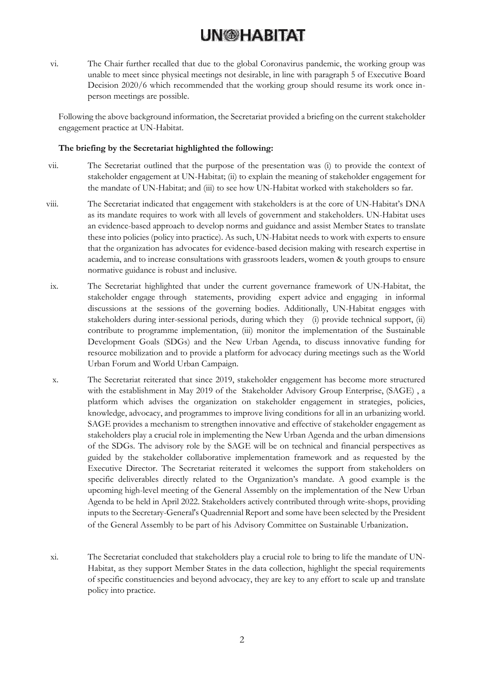vi. The Chair further recalled that due to the global Coronavirus pandemic, the working group was unable to meet since physical meetings not desirable, in line with paragraph 5 of Executive Board Decision 2020/6 which recommended that the working group should resume its work once inperson meetings are possible.

Following the above background information, the Secretariat provided a briefing on the current stakeholder engagement practice at UN-Habitat.

### **The briefing by the Secretariat highlighted the following:**

- vii. The Secretariat outlined that the purpose of the presentation was (i) to provide the context of stakeholder engagement at UN-Habitat; (ii) to explain the meaning of stakeholder engagement for the mandate of UN-Habitat; and (iii) to see how UN-Habitat worked with stakeholders so far.
- viii. The Secretariat indicated that engagement with stakeholders is at the core of UN-Habitat's DNA as its mandate requires to work with all levels of government and stakeholders. UN-Habitat uses an evidence-based approach to develop norms and guidance and assist Member States to translate these into policies (policy into practice). As such, UN-Habitat needs to work with experts to ensure that the organization has advocates for evidence-based decision making with research expertise in academia, and to increase consultations with grassroots leaders, women & youth groups to ensure normative guidance is robust and inclusive.
- ix. The Secretariat highlighted that under the current governance framework of UN-Habitat, the stakeholder engage through statements, providing expert advice and engaging in informal discussions at the sessions of the governing bodies. Additionally, UN-Habitat engages with stakeholders during inter-sessional periods, during which they (i) provide technical support, (ii) contribute to programme implementation, (iii) monitor the implementation of the Sustainable Development Goals (SDGs) and the New Urban Agenda, to discuss innovative funding for resource mobilization and to provide a platform for advocacy during meetings such as the World Urban Forum and World Urban Campaign.
- x. The Secretariat reiterated that since 2019, stakeholder engagement has become more structured with the establishment in May 2019 of the Stakeholder Advisory Group Enterprise, (SAGE) , a platform which advises the organization on stakeholder engagement in strategies, policies, knowledge, advocacy, and programmes to improve living conditions for all in an urbanizing world. SAGE provides a mechanism to strengthen innovative and effective of stakeholder engagement as stakeholders play a crucial role in implementing the New Urban Agenda and the urban dimensions of the SDGs. The advisory role by the SAGE will be on technical and financial perspectives as guided by the stakeholder collaborative implementation framework and as requested by the Executive Director. The Secretariat reiterated it welcomes the support from stakeholders on specific deliverables directly related to the Organization's mandate. A good example is the upcoming high-level meeting of the General Assembly on the implementation of the New Urban Agenda to be held in April 2022. Stakeholders actively contributed through write-shops, providing inputs to the Secretary-General's Quadrennial Report and some have been selected by the President of the General Assembly to be part of his Advisory Committee on Sustainable Urbanization.
- xi. The Secretariat concluded that stakeholders play a crucial role to bring to life the mandate of UN-Habitat, as they support Member States in the data collection, highlight the special requirements of specific constituencies and beyond advocacy, they are key to any effort to scale up and translate policy into practice.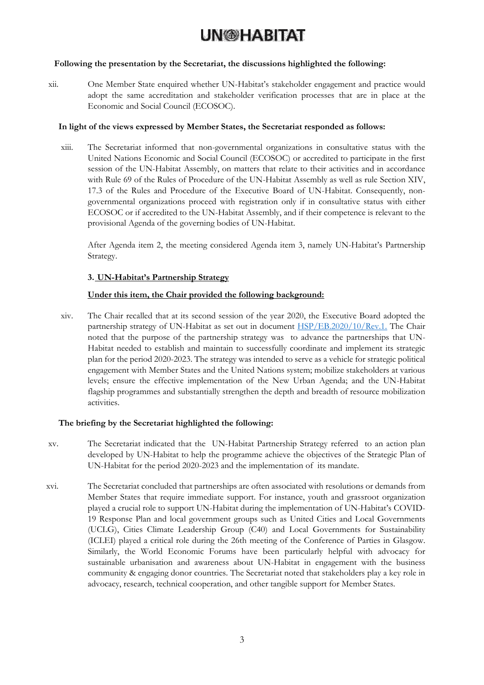## **Following the presentation by the Secretariat, the discussions highlighted the following:**

xii. One Member State enquired whether UN-Habitat's stakeholder engagement and practice would adopt the same accreditation and stakeholder verification processes that are in place at the Economic and Social Council (ECOSOC).

## **In light of the views expressed by Member States, the Secretariat responded as follows:**

xiii. The Secretariat informed that non-governmental organizations in consultative status with the United Nations Economic and Social Council (ECOSOC) or accredited to participate in the first session of the UN-Habitat Assembly, on matters that relate to their activities and in accordance with Rule 69 of the Rules of Procedure of the UN-Habitat Assembly as well as rule Section XIV, 17.3 of the Rules and Procedure of the Executive Board of UN-Habitat. Consequently, nongovernmental organizations proceed with registration only if in consultative status with either ECOSOC or if accredited to the UN-Habitat Assembly, and if their competence is relevant to the provisional Agenda of the governing bodies of UN-Habitat.

After Agenda item 2, the meeting considered Agenda item 3, namely UN-Habitat's Partnership Strategy.

## **3. UN-Habitat's Partnership Strategy**

## **Under this item, the Chair provided the following background:**

xiv. The Chair recalled that at its second session of the year 2020, the Executive Board adopted the partnership strategy of UN-Habitat as set out in document [HSP/EB.2020/10/Rev.1.](https://documents-dds-ny.un.org/doc/UNDOC/GEN/K20/018/05/PDF/K2001805.pdf?OpenElement) The Chair noted that the purpose of the partnership strategy was to advance the partnerships that UN-Habitat needed to establish and maintain to successfully coordinate and implement its strategic plan for the period 2020-2023. The strategy was intended to serve as a vehicle for strategic political engagement with Member States and the United Nations system; mobilize stakeholders at various levels; ensure the effective implementation of the New Urban Agenda; and the UN-Habitat flagship programmes and substantially strengthen the depth and breadth of resource mobilization activities.

### **The briefing by the Secretariat highlighted the following:**

- xv. The Secretariat indicated that the UN-Habitat Partnership Strategy referred to an action plan developed by UN-Habitat to help the programme achieve the objectives of the Strategic Plan of UN-Habitat for the period 2020-2023 and the implementation of its mandate.
- xvi. The Secretariat concluded that partnerships are often associated with resolutions or demands from Member States that require immediate support. For instance, youth and grassroot organization played a crucial role to support UN-Habitat during the implementation of UN-Habitat's COVID-19 Response Plan and local government groups such as United Cities and Local Governments (UCLG), Cities Climate Leadership Group (C40) and Local Governments for Sustainability (ICLEI) played a critical role during the 26th meeting of the Conference of Parties in Glasgow. Similarly, the World Economic Forums have been particularly helpful with advocacy for sustainable urbanisation and awareness about UN-Habitat in engagement with the business community & engaging donor countries. The Secretariat noted that stakeholders play a key role in advocacy, research, technical cooperation, and other tangible support for Member States.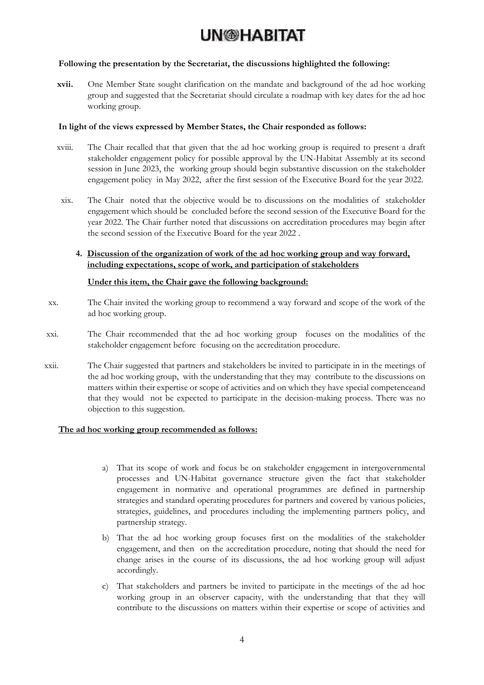### **Following the presentation by the Secretariat, the discussions highlighted the following:**

**xvii.** One Member State sought clarification on the mandate and background of the ad hoc working group and suggested that the Secretariat should circulate a roadmap with key dates for the ad hoc working group.

#### **In light of the views expressed by Member States, the Chair responded as follows:**

- xviii. The Chair recalled that that given that the ad hoc working group is required to present a draft stakeholder engagement policy for possible approval by the UN-Habitat Assembly at its second session in June 2023, the working group should begin substantive discussion on the stakeholder engagement policy in May 2022, after the first session of the Executive Board for the year 2022.
- xix. The Chair noted that the objective would be to discussions on the modalities of stakeholder engagement which should be concluded before the second session of the Executive Board for the year 2022. The Chair further noted that discussions on accreditation procedures may begin after the second session of the Executive Board for the year 2022 .

## **4. Discussion of the organization of work of the ad hoc working group and way forward, including expectations, scope of work, and participation of stakeholders**

### **Under this item, the Chair gave the following background:**

- xx. The Chair invited the working group to recommend a way forward and scope of the work of the ad hoc working group.
- xxi. The Chair recommended that the ad hoc working group focuses on the modalities of the stakeholder engagement before focusing on the accreditation procedure.
- xxii. The Chair suggested that partners and stakeholders be invited to participate in in the meetings of the ad hoc working group, with the understanding that they may contribute to the discussions on matters within their expertise or scope of activities and on which they have special competenceand that they would not be expected to participate in the decision-making process. There was no objection to this suggestion.

#### **The ad hoc working group recommended as follows:**

- a) That its scope of work and focus be on stakeholder engagement in intergovernmental processes and UN-Habitat governance structure given the fact that stakeholder engagement in normative and operational programmes are defined in partnership strategies and standard operating procedures for partners and covered by various policies, strategies, guidelines, and procedures including the implementing partners policy, and partnership strategy.
- b) That the ad hoc working group focuses first on the modalities of the stakeholder engagement, and then on the accreditation procedure, noting that should the need for change arises in the course of its discussions, the ad hoc working group will adjust accordingly.
- c) That stakeholders and partners be invited to participate in the meetings of the ad hoc working group in an observer capacity, with the understanding that that they will contribute to the discussions on matters within their expertise or scope of activities and